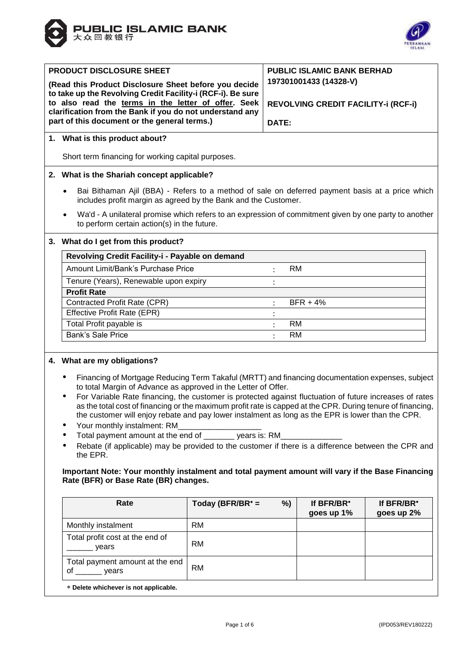



| <b>PRODUCT DISCLOSURE SHEET</b><br>(Read this Product Disclosure Sheet before you decide<br>to take up the Revolving Credit Facility-i (RCF-i). Be sure<br>to also read the terms in the letter of offer. Seek<br>clarification from the Bank if you do not understand any<br>part of this document or the general terms.) | <b>PUBLIC ISLAMIC BANK BERHAD</b><br>197301001433 (14328-V)<br>REVOLVING CREDIT FACILITY-i (RCF-i)<br>DATE: |  |  |
|----------------------------------------------------------------------------------------------------------------------------------------------------------------------------------------------------------------------------------------------------------------------------------------------------------------------------|-------------------------------------------------------------------------------------------------------------|--|--|
| 1. What is this product about?                                                                                                                                                                                                                                                                                             |                                                                                                             |  |  |
| Short term financing for working capital purposes.                                                                                                                                                                                                                                                                         |                                                                                                             |  |  |
| 2. What is the Shariah concept applicable?                                                                                                                                                                                                                                                                                 |                                                                                                             |  |  |
| Bai Bithaman Ajil (BBA) - Refers to a method of sale on deferred payment basis at a price which<br>$\bullet$<br>includes profit margin as agreed by the Bank and the Customer.                                                                                                                                             |                                                                                                             |  |  |
| Wa'd - A unilateral promise which refers to an expression of commitment given by one party to another<br>$\bullet$<br>to perform certain action(s) in the future.                                                                                                                                                          |                                                                                                             |  |  |
| 3. What do I get from this product?                                                                                                                                                                                                                                                                                        |                                                                                                             |  |  |
| <b>Dovolving Crodit Eacility i - Dovable on domand</b>                                                                                                                                                                                                                                                                     |                                                                                                             |  |  |

| Revolving Credit Facility-i - Payable on demand |            |  |
|-------------------------------------------------|------------|--|
| Amount Limit/Bank's Purchase Price              | RM         |  |
| Tenure (Years), Renewable upon expiry           |            |  |
| <b>Profit Rate</b>                              |            |  |
| Contracted Profit Rate (CPR)                    | $BFR + 4%$ |  |
| Effective Profit Rate (EPR)                     |            |  |
| Total Profit payable is                         | RM         |  |
| <b>Bank's Sale Price</b>                        | RM         |  |
|                                                 |            |  |

# **4. What are my obligations?**

- Financing of Mortgage Reducing Term Takaful (MRTT) and financing documentation expenses, subject to total Margin of Advance as approved in the Letter of Offer.
- For Variable Rate financing, the customer is protected against fluctuation of future increases of rates as the total cost of financing or the maximum profit rate is capped at the CPR. During tenure of financing, the customer will enjoy rebate and pay lower instalment as long as the EPR is lower than the CPR.
- Your monthly instalment: RM
- Total payment amount at the end of \_\_\_\_\_\_\_ years is: RM\_\_\_\_\_\_\_\_\_\_\_\_\_\_
- Rebate (if applicable) may be provided to the customer if there is a difference between the CPR and the EPR.

**Important Note: Your monthly instalment and total payment amount will vary if the Base Financing Rate (BFR) or Base Rate (BR) changes.**

| Rate                                           | %)<br>Today (BFR/BR $* =$ | If BFR/BR*<br>goes up 1% | If BFR/BR*<br>goes up 2% |
|------------------------------------------------|---------------------------|--------------------------|--------------------------|
| Monthly instalment                             | RM.                       |                          |                          |
| Total profit cost at the end of<br>years       | <b>RM</b>                 |                          |                          |
| Total payment amount at the end<br>of<br>vears | RM.                       |                          |                          |
| * Delete whichever is not applicable.          |                           |                          |                          |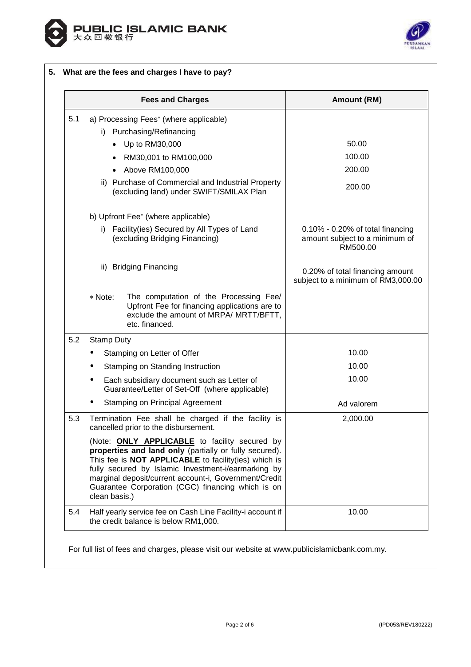



|     | <b>Fees and Charges</b>                                                                                                                                                                                                                                                                                                                                      | Amount (RM)                                                                       |
|-----|--------------------------------------------------------------------------------------------------------------------------------------------------------------------------------------------------------------------------------------------------------------------------------------------------------------------------------------------------------------|-----------------------------------------------------------------------------------|
| 5.1 | a) Processing Fees* (where applicable)                                                                                                                                                                                                                                                                                                                       |                                                                                   |
|     | i) Purchasing/Refinancing                                                                                                                                                                                                                                                                                                                                    |                                                                                   |
|     | • Up to RM30,000                                                                                                                                                                                                                                                                                                                                             | 50.00                                                                             |
|     | • RM30,001 to RM100,000                                                                                                                                                                                                                                                                                                                                      | 100.00                                                                            |
|     | • Above RM100,000                                                                                                                                                                                                                                                                                                                                            | 200.00                                                                            |
|     | ii) Purchase of Commercial and Industrial Property<br>(excluding land) under SWIFT/SMILAX Plan                                                                                                                                                                                                                                                               | 200.00                                                                            |
|     | b) Upfront Fee* (where applicable)                                                                                                                                                                                                                                                                                                                           |                                                                                   |
|     | i) Facility(ies) Secured by All Types of Land<br>(excluding Bridging Financing)                                                                                                                                                                                                                                                                              | $0.10\%$ - 0.20% of total financing<br>amount subject to a minimum of<br>RM500.00 |
|     | ii) Bridging Financing                                                                                                                                                                                                                                                                                                                                       | 0.20% of total financing amount<br>subject to a minimum of RM3,000.00             |
|     | The computation of the Processing Fee/<br>* Note:<br>Upfront Fee for financing applications are to<br>exclude the amount of MRPA/ MRTT/BFTT,<br>etc. financed.                                                                                                                                                                                               |                                                                                   |
| 5.2 | <b>Stamp Duty</b>                                                                                                                                                                                                                                                                                                                                            |                                                                                   |
|     | Stamping on Letter of Offer<br>٠                                                                                                                                                                                                                                                                                                                             | 10.00                                                                             |
|     | Stamping on Standing Instruction                                                                                                                                                                                                                                                                                                                             | 10.00                                                                             |
|     | Each subsidiary document such as Letter of<br>Guarantee/Letter of Set-Off (where applicable)                                                                                                                                                                                                                                                                 | 10.00                                                                             |
|     | <b>Stamping on Principal Agreement</b>                                                                                                                                                                                                                                                                                                                       | Ad valorem                                                                        |
| 5.3 | Termination Fee shall be charged if the facility is<br>cancelled prior to the disbursement.                                                                                                                                                                                                                                                                  | 2,000.00                                                                          |
|     | (Note: <b>ONLY APPLICABLE</b> to facility secured by<br>properties and land only (partially or fully secured).<br>This fee is NOT APPLICABLE to facility(ies) which is<br>fully secured by Islamic Investment-i/earmarking by<br>marginal deposit/current account-i, Government/Credit<br>Guarantee Corporation (CGC) financing which is on<br>clean basis.) |                                                                                   |
| 5.4 | Half yearly service fee on Cash Line Facility-i account if<br>the credit balance is below RM1,000.                                                                                                                                                                                                                                                           | 10.00                                                                             |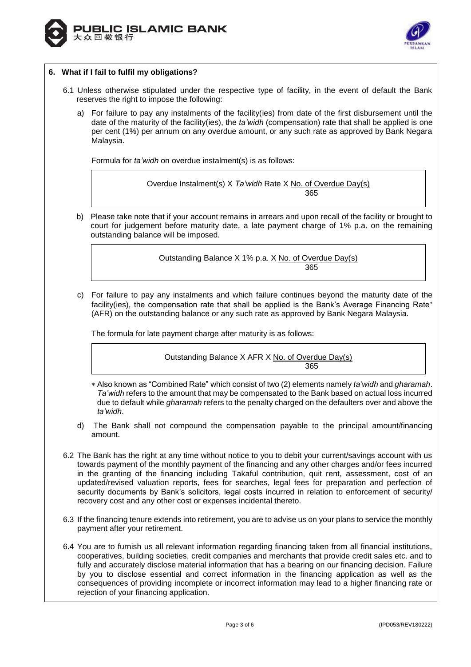



# **6. What if I fail to fulfil my obligations?**

- 6.1 Unless otherwise stipulated under the respective type of facility, in the event of default the Bank reserves the right to impose the following:
	- a) For failure to pay any instalments of the facility(ies) from date of the first disbursement until the date of the maturity of the facility(ies), the *ta'widh* (compensation) rate that shall be applied is one per cent (1%) per annum on any overdue amount, or any such rate as approved by Bank Negara Malaysia.

Formula for *ta'widh* on overdue instalment(s) is as follows:

Overdue Instalment(s) X *Ta'widh* Rate X No. of Overdue Day(s) 365

b) Please take note that if your account remains in arrears and upon recall of the facility or brought to court for judgement before maturity date, a late payment charge of 1% p.a. on the remaining outstanding balance will be imposed.

> Outstanding Balance X 1% p.a. X No. of Overdue Day(s) 365

c) For failure to pay any instalments and which failure continues beyond the maturity date of the facility(ies), the compensation rate that shall be applied is the Bank's Average Financing Rate\* (AFR) on the outstanding balance or any such rate as approved by Bank Negara Malaysia.

The formula for late payment charge after maturity is as follows:

Outstanding Balance X AFR X No. of Overdue Day(s) 365

- Also known as "Combined Rate" which consist of two (2) elements namely *ta'widh* and *gharamah*. *Ta'widh* refers to the amount that may be compensated to the Bank based on actual loss incurred due to default while *gharamah* refers to the penalty charged on the defaulters over and above the *ta'widh*.
- d) The Bank shall not compound the compensation payable to the principal amount/financing amount.
- 6.2 The Bank has the right at any time without notice to you to debit your current/savings account with us towards payment of the monthly payment of the financing and any other charges and/or fees incurred in the granting of the financing including Takaful contribution, quit rent, assessment, cost of an updated/revised valuation reports, fees for searches, legal fees for preparation and perfection of security documents by Bank's solicitors, legal costs incurred in relation to enforcement of security/ recovery cost and any other cost or expenses incidental thereto.
- 6.3 If the financing tenure extends into retirement, you are to advise us on your plans to service the monthly payment after your retirement.
- 6.4 You are to furnish us all relevant information regarding financing taken from all financial institutions, cooperatives, building societies, credit companies and merchants that provide credit sales etc. and to fully and accurately disclose material information that has a bearing on our financing decision. Failure by you to disclose essential and correct information in the financing application as well as the consequences of providing incomplete or incorrect information may lead to a higher financing rate or rejection of your financing application.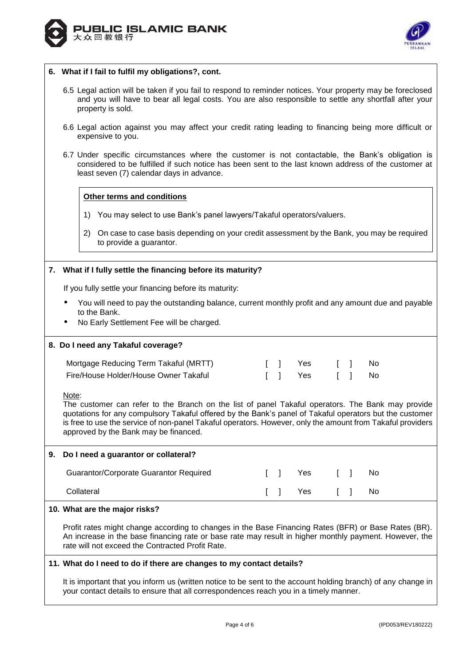



#### **6. What if I fail to fulfil my obligations?, cont.**

- 6.5 Legal action will be taken if you fail to respond to reminder notices. Your property may be foreclosed and you will have to bear all legal costs. You are also responsible to settle any shortfall after your property is sold.
- 6.6 Legal action against you may affect your credit rating leading to financing being more difficult or expensive to you.
- 6.7 Under specific circumstances where the customer is not contactable, the Bank's obligation is considered to be fulfilled if such notice has been sent to the last known address of the customer at least seven (7) calendar days in advance.

## **Other terms and conditions**

- 1) You may select to use Bank's panel lawyers/Takaful operators/valuers.
- 2) On case to case basis depending on your credit assessment by the Bank, you may be required to provide a guarantor.

## **7. What if I fully settle the financing before its maturity?**

If you fully settle your financing before its maturity:

- You will need to pay the outstanding balance, current monthly profit and any amount due and payable to the Bank.
- No Early Settlement Fee will be charged.

#### **8. Do I need any Takaful coverage?**

| Mortgage Reducing Term Takaful (MRTT) |  |              |  |  |
|---------------------------------------|--|--------------|--|--|
| Fire/House Holder/House Owner Takaful |  | [] Yes [] No |  |  |

Note:

The customer can refer to the Branch on the list of panel Takaful operators. The Bank may provide quotations for any compulsory Takaful offered by the Bank's panel of Takaful operators but the customer is free to use the service of non-panel Takaful operators. However, only the amount from Takaful providers approved by the Bank may be financed.

# **9. Do I need a guarantor or collateral?** Guarantor/Corporate Guarantor Required [ ] Yes [ ] No Collateral [ ] Yes [ ] No

#### **10. What are the major risks?**

Profit rates might change according to changes in the Base Financing Rates (BFR) or Base Rates (BR). An increase in the base financing rate or base rate may result in higher monthly payment. However, the rate will not exceed the Contracted Profit Rate.

## **11. What do I need to do if there are changes to my contact details?**

It is important that you inform us (written notice to be sent to the account holding branch) of any change in your contact details to ensure that all correspondences reach you in a timely manner.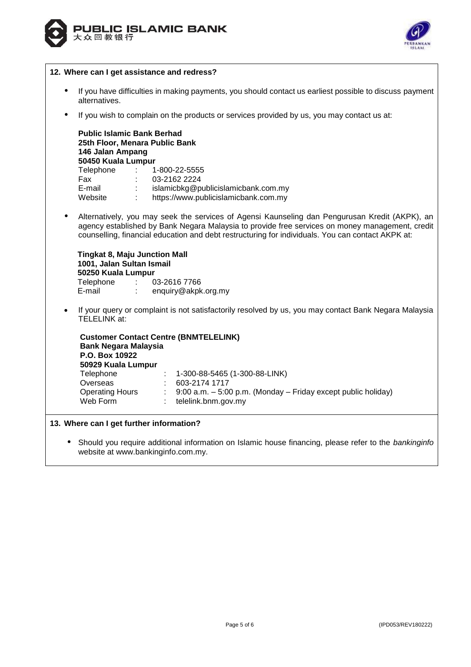



|           | 12. Where can I get assistance and redress?                                                                                                                                                                                                                                                            |  |  |  |  |
|-----------|--------------------------------------------------------------------------------------------------------------------------------------------------------------------------------------------------------------------------------------------------------------------------------------------------------|--|--|--|--|
| $\bullet$ | If you have difficulties in making payments, you should contact us earliest possible to discuss payment<br>alternatives.                                                                                                                                                                               |  |  |  |  |
| $\bullet$ | If you wish to complain on the products or services provided by us, you may contact us at:                                                                                                                                                                                                             |  |  |  |  |
|           | <b>Public Islamic Bank Berhad</b><br>25th Floor, Menara Public Bank<br>146 Jalan Ampang<br>50450 Kuala Lumpur<br>Telephone :<br>1-800-22-5555<br>$\frac{1}{2}$ 03-2162 2224<br>Fax<br>: islamicbkg@publicislamicbank.com.my<br>E-mail<br>Website : https://www.publicislamicbank.com.my                |  |  |  |  |
| $\bullet$ | Alternatively, you may seek the services of Agensi Kaunseling dan Pengurusan Kredit (AKPK), an<br>agency established by Bank Negara Malaysia to provide free services on money management, credit<br>counselling, financial education and debt restructuring for individuals. You can contact AKPK at: |  |  |  |  |
|           | <b>Tingkat 8, Maju Junction Mall</b><br>1001, Jalan Sultan Ismail<br>50250 Kuala Lumpur<br>Telephone : 03-2616 7766<br>E-mail<br>enquiry@akpk.org.my<br>$1 - 1$                                                                                                                                        |  |  |  |  |
| $\bullet$ | If your query or complaint is not satisfactorily resolved by us, you may contact Bank Negara Malaysia<br><b>TELELINK at:</b>                                                                                                                                                                           |  |  |  |  |
|           | <b>Customer Contact Centre (BNMTELELINK)</b><br><b>Bank Negara Malaysia</b><br>P.O. Box 10922<br>50929 Kuala Lumpur<br>Telephone<br>1-300-88-5465 (1-300-88-LINK)                                                                                                                                      |  |  |  |  |
|           | Overseas<br>603-2174 1717<br>9:00 a.m. - 5:00 p.m. (Monday - Friday except public holiday)<br><b>Operating Hours</b><br>Web Form<br>telelink.bnm.gov.my                                                                                                                                                |  |  |  |  |
|           |                                                                                                                                                                                                                                                                                                        |  |  |  |  |
|           | 13. Where can I get further information?                                                                                                                                                                                                                                                               |  |  |  |  |
|           | Should you require additional information on Islamic house financing, please refer to the bankinginfo                                                                                                                                                                                                  |  |  |  |  |

website at www.bankinginfo.com.my.